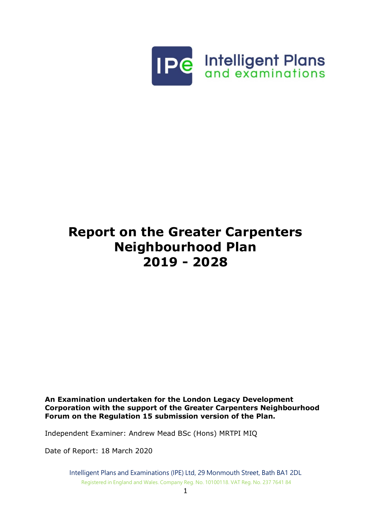

# **Report on the Greater Carpenters Neighbourhood Plan 2019 - 2028**

**An Examination undertaken for the London Legacy Development Corporation with the support of the Greater Carpenters Neighbourhood Forum on the Regulation 15 submission version of the Plan.**

Independent Examiner: Andrew Mead BSc (Hons) MRTPI MIQ

Date of Report: 18 March 2020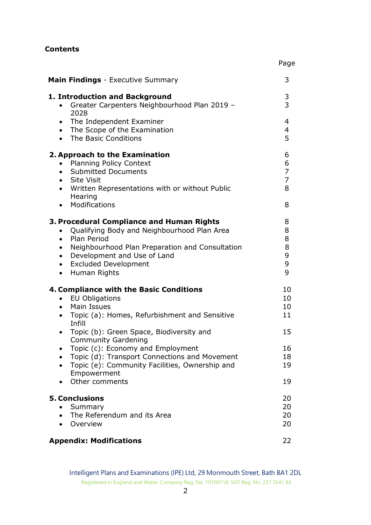## **Contents**

| <b>Main Findings</b> - Executive Summary                                                                                                                                                                                                                                                                                                                                                                                                                                    | 3                                                    |
|-----------------------------------------------------------------------------------------------------------------------------------------------------------------------------------------------------------------------------------------------------------------------------------------------------------------------------------------------------------------------------------------------------------------------------------------------------------------------------|------------------------------------------------------|
| 1. Introduction and Background<br>Greater Carpenters Neighbourhood Plan 2019 -<br>$\bullet$<br>2028                                                                                                                                                                                                                                                                                                                                                                         | 3<br>$\overline{3}$                                  |
| The Independent Examiner<br>$\bullet$<br>The Scope of the Examination<br>$\bullet$<br>The Basic Conditions<br>$\bullet$                                                                                                                                                                                                                                                                                                                                                     | 4<br>4<br>5                                          |
| 2. Approach to the Examination<br><b>Planning Policy Context</b><br>$\bullet$<br><b>Submitted Documents</b><br>$\bullet$<br>• Site Visit<br>Written Representations with or without Public<br>$\bullet$<br>Hearing<br>Modifications<br>$\bullet$                                                                                                                                                                                                                            | 6<br>6<br>$\overline{7}$<br>$\overline{7}$<br>8<br>8 |
| 3. Procedural Compliance and Human Rights<br>Qualifying Body and Neighbourhood Plan Area<br>$\bullet$<br>Plan Period<br>$\bullet$<br>Neighbourhood Plan Preparation and Consultation<br>$\bullet$<br>Development and Use of Land<br>$\bullet$<br><b>Excluded Development</b><br>$\bullet$<br>Human Rights<br>$\bullet$                                                                                                                                                      | 8<br>8<br>8<br>8<br>9<br>9<br>9                      |
| 4. Compliance with the Basic Conditions<br><b>EU Obligations</b><br>$\bullet$<br>Main Issues<br>$\bullet$<br>Topic (a): Homes, Refurbishment and Sensitive<br>$\bullet$<br>Infill<br>Topic (b): Green Space, Biodiversity and<br>$\bullet$<br><b>Community Gardening</b><br>Topic (c): Economy and Employment<br>Topic (d): Transport Connections and Movement<br>$\bullet$<br>Topic (e): Community Facilities, Ownership and<br>$\bullet$<br>Empowerment<br>Other comments | 10<br>10<br>10<br>11<br>15<br>16<br>18<br>19<br>19   |
| <b>5. Conclusions</b><br>Summary<br>The Referendum and its Area<br>$\bullet$<br>Overview                                                                                                                                                                                                                                                                                                                                                                                    | 20<br>20<br>20<br>20                                 |
| <b>Appendix: Modifications</b>                                                                                                                                                                                                                                                                                                                                                                                                                                              | 22                                                   |

Page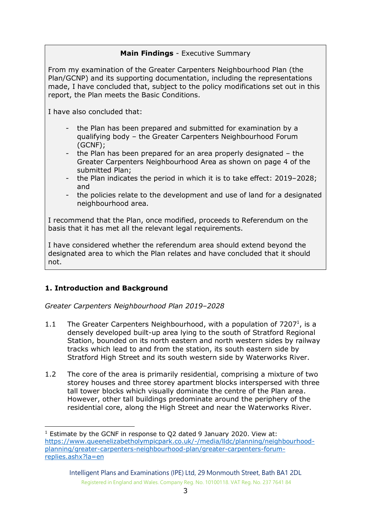# **Main Findings** - Executive Summary

From my examination of the Greater Carpenters Neighbourhood Plan (the Plan/GCNP) and its supporting documentation, including the representations made, I have concluded that, subject to the policy modifications set out in this report, the Plan meets the Basic Conditions.

I have also concluded that:

- the Plan has been prepared and submitted for examination by a qualifying body – the Greater Carpenters Neighbourhood Forum (GCNF);
- the Plan has been prepared for an area properly designated  $-$  the Greater Carpenters Neighbourhood Area as shown on page 4 of the submitted Plan;
- the Plan indicates the period in which it is to take effect: 2019–2028; and
- the policies relate to the development and use of land for a designated neighbourhood area.

I recommend that the Plan, once modified, proceeds to Referendum on the basis that it has met all the relevant legal requirements.

I have considered whether the referendum area should extend beyond the designated area to which the Plan relates and have concluded that it should not.

## **1. Introduction and Background**

-

*Greater Carpenters Neighbourhood Plan 2019–2028*

- 1.1 The Greater Carpenters Neighbourhood, with a population of 7207<sup>1</sup>, is a densely developed built-up area lying to the south of Stratford Regional Station, bounded on its north eastern and north western sides by railway tracks which lead to and from the station, its south eastern side by Stratford High Street and its south western side by Waterworks River.
- 1.2 The core of the area is primarily residential, comprising a mixture of two storey houses and three storey apartment blocks interspersed with three tall tower blocks which visually dominate the centre of the Plan area. However, other tall buildings predominate around the periphery of the residential core, along the High Street and near the Waterworks River.

 $1$  Estimate by the GCNF in response to O2 dated 9 January 2020. View at: [https://www.queenelizabetholympicpark.co.uk/-/media/lldc/planning/neighbourhood](https://www.queenelizabetholympicpark.co.uk/-/media/lldc/planning/neighbourhood-planning/greater-carpenters-neighbourhood-plan/greater-carpenters-forum-replies.ashx?la=en)[planning/greater-carpenters-neighbourhood-plan/greater-carpenters-forum](https://www.queenelizabetholympicpark.co.uk/-/media/lldc/planning/neighbourhood-planning/greater-carpenters-neighbourhood-plan/greater-carpenters-forum-replies.ashx?la=en)[replies.ashx?la=en](https://www.queenelizabetholympicpark.co.uk/-/media/lldc/planning/neighbourhood-planning/greater-carpenters-neighbourhood-plan/greater-carpenters-forum-replies.ashx?la=en)

Intelligent Plans and Examinations (IPE) Ltd, 29 Monmouth Street, Bath BA1 2DL Registered in England and Wales. Company Reg. No. 10100118. VAT Reg. No. 237 7641 84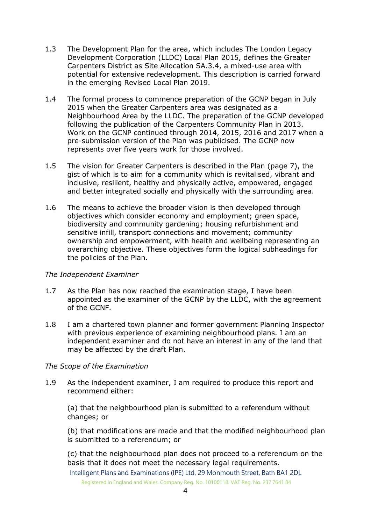- 1.3 The Development Plan for the area, which includes The London Legacy Development Corporation (LLDC) Local Plan 2015, defines the Greater Carpenters District as Site Allocation SA.3.4, a mixed-use area with potential for extensive redevelopment. This description is carried forward in the emerging Revised Local Plan 2019.
- 1.4 The formal process to commence preparation of the GCNP began in July 2015 when the Greater Carpenters area was designated as a Neighbourhood Area by the LLDC. The preparation of the GCNP developed following the publication of the Carpenters Community Plan in 2013. Work on the GCNP continued through 2014, 2015, 2016 and 2017 when a pre-submission version of the Plan was publicised. The GCNP now represents over five years work for those involved.
- 1.5 The vision for Greater Carpenters is described in the Plan (page 7), the gist of which is to aim for a community which is revitalised, vibrant and inclusive, resilient, healthy and physically active, empowered, engaged and better integrated socially and physically with the surrounding area.
- 1.6 The means to achieve the broader vision is then developed through objectives which consider economy and employment; green space, biodiversity and community gardening; housing refurbishment and sensitive infill, transport connections and movement; community ownership and empowerment, with health and wellbeing representing an overarching objective. These objectives form the logical subheadings for the policies of the Plan.

#### *The Independent Examiner*

- 1.7 As the Plan has now reached the examination stage, I have been appointed as the examiner of the GCNP by the LLDC, with the agreement of the GCNF.
- 1.8 I am a chartered town planner and former government Planning Inspector with previous experience of examining neighbourhood plans. I am an independent examiner and do not have an interest in any of the land that may be affected by the draft Plan.

#### *The Scope of the Examination*

1.9 As the independent examiner, I am required to produce this report and recommend either:

(a) that the neighbourhood plan is submitted to a referendum without changes; or

(b) that modifications are made and that the modified neighbourhood plan is submitted to a referendum; or

(c) that the neighbourhood plan does not proceed to a referendum on the basis that it does not meet the necessary legal requirements.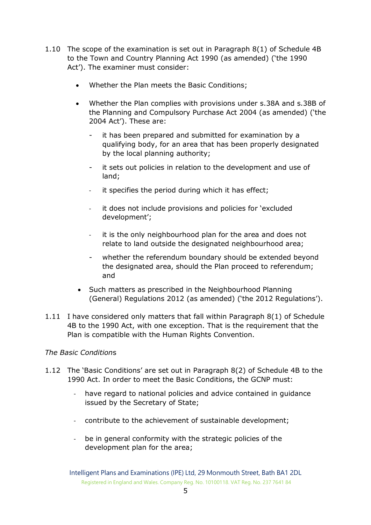- 1.10 The scope of the examination is set out in Paragraph 8(1) of Schedule 4B to the Town and Country Planning Act 1990 (as amended) ('the 1990 Act'). The examiner must consider:
	- Whether the Plan meets the Basic Conditions;
	- Whether the Plan complies with provisions under s.38A and s.38B of the Planning and Compulsory Purchase Act 2004 (as amended) ('the 2004 Act'). These are:
		- it has been prepared and submitted for examination by a qualifying body, for an area that has been properly designated by the local planning authority;
		- it sets out policies in relation to the development and use of land;
		- it specifies the period during which it has effect;
		- it does not include provisions and policies for 'excluded development';
		- it is the only neighbourhood plan for the area and does not relate to land outside the designated neighbourhood area;
		- whether the referendum boundary should be extended beyond the designated area, should the Plan proceed to referendum; and
	- Such matters as prescribed in the Neighbourhood Planning (General) Regulations 2012 (as amended) ('the 2012 Regulations').
- 1.11 I have considered only matters that fall within Paragraph 8(1) of Schedule 4B to the 1990 Act, with one exception. That is the requirement that the Plan is compatible with the Human Rights Convention.

## *The Basic Condition*s

- 1.12 The 'Basic Conditions' are set out in Paragraph 8(2) of Schedule 4B to the 1990 Act. In order to meet the Basic Conditions, the GCNP must:
	- have regard to national policies and advice contained in guidance issued by the Secretary of State;
	- contribute to the achievement of sustainable development;
	- be in general conformity with the strategic policies of the development plan for the area;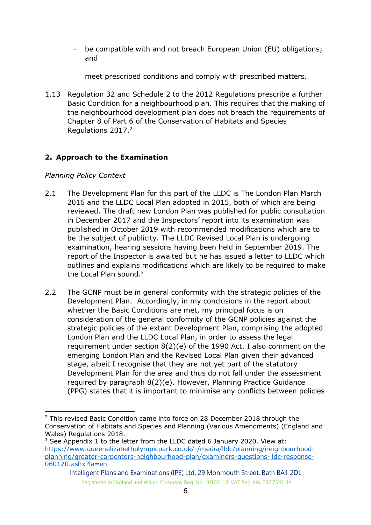- be compatible with and not breach European Union (EU) obligations; and
- meet prescribed conditions and comply with prescribed matters.
- 1.13 Regulation 32 and Schedule 2 to the 2012 Regulations prescribe a further Basic Condition for a neighbourhood plan. This requires that the making of the neighbourhood development plan does not breach the requirements of Chapter 8 of Part 6 of the Conservation of Habitats and Species Regulations 2017. 2

# **2. Approach to the Examination**

# *Planning Policy Context*

- 2.1 The Development Plan for this part of the LLDC is The London Plan March 2016 and the LLDC Local Plan adopted in 2015, both of which are being reviewed. The draft new London Plan was published for public consultation in December 2017 and the Inspectors' report into its examination was published in October 2019 with recommended modifications which are to be the subject of publicity. The LLDC Revised Local Plan is undergoing examination, hearing sessions having been held in September 2019. The report of the Inspector is awaited but he has issued a letter to LLDC which outlines and explains modifications which are likely to be required to make the Local Plan sound.<sup>3</sup>
- 2.2 The GCNP must be in general conformity with the strategic policies of the Development Plan. Accordingly, in my conclusions in the report about whether the Basic Conditions are met, my principal focus is on consideration of the general conformity of the GCNP policies against the strategic policies of the extant Development Plan, comprising the adopted London Plan and the LLDC Local Plan, in order to assess the legal requirement under section 8(2)(e) of the 1990 Act. I also comment on the emerging London Plan and the Revised Local Plan given their advanced stage, albeit I recognise that they are not yet part of the statutory Development Plan for the area and thus do not fall under the assessment required by paragraph 8(2)(e). However, Planning Practice Guidance (PPG) states that it is important to minimise any conflicts between policies

<sup>-</sup> $2$  This revised Basic Condition came into force on 28 December 2018 through the Conservation of Habitats and Species and Planning (Various Amendments) (England and Wales) Regulations 2018.

 $3$  See Appendix 1 to the letter from the LLDC dated 6 January 2020. View at: [https://www.queenelizabetholympicpark.co.uk/-/media/lldc/planning/neighbourhood](https://www.queenelizabetholympicpark.co.uk/-/media/lldc/planning/neighbourhood-planning/greater-carpenters-neighbourhood-plan/examiners-questions-lldc-response-060120.ashx?la=en)[planning/greater-carpenters-neighbourhood-plan/examiners-questions-lldc-response-](https://www.queenelizabetholympicpark.co.uk/-/media/lldc/planning/neighbourhood-planning/greater-carpenters-neighbourhood-plan/examiners-questions-lldc-response-060120.ashx?la=en)[060120.ashx?la=en](https://www.queenelizabetholympicpark.co.uk/-/media/lldc/planning/neighbourhood-planning/greater-carpenters-neighbourhood-plan/examiners-questions-lldc-response-060120.ashx?la=en)

Intelligent Plans and Examinations (IPE) Ltd, 29 Monmouth Street, Bath BA1 2DL Registered in England and Wales. Company Reg. No. 10100118. VAT Reg. No. 237 7641 84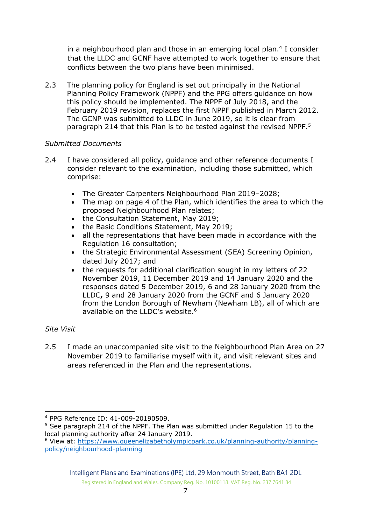in a neighbourhood plan and those in an emerging local plan.<sup>4</sup> I consider that the LLDC and GCNF have attempted to work together to ensure that conflicts between the two plans have been minimised.

2.3 The planning policy for England is set out principally in the National Planning Policy Framework (NPPF) and the PPG offers guidance on how this policy should be implemented. The NPPF of July 2018, and the February 2019 revision, replaces the first NPPF published in March 2012. The GCNP was submitted to LLDC in June 2019, so it is clear from paragraph 214 that this Plan is to be tested against the revised NPPF.<sup>5</sup>

## *Submitted Documents*

- 2.4 I have considered all policy, guidance and other reference documents I consider relevant to the examination, including those submitted, which comprise:
	- The Greater Carpenters Neighbourhood Plan 2019–2028;
	- The map on page 4 of the Plan, which identifies the area to which the proposed Neighbourhood Plan relates;
	- the Consultation Statement, May 2019;
	- the Basic Conditions Statement, May 2019;
	- all the representations that have been made in accordance with the Regulation 16 consultation;
	- the Strategic Environmental Assessment (SEA) Screening Opinion, dated July 2017; and
	- the requests for additional clarification sought in my letters of 22 November 2019, 11 December 2019 and 14 January 2020 and the responses dated 5 December 2019, 6 and 28 January 2020 from the LLDC**,** 9 and 28 January 2020 from the GCNF and 6 January 2020 from the London Borough of Newham (Newham LB), all of which are available on the LLDC's website.<sup>6</sup>

#### *Site Visit*

2.5 I made an unaccompanied site visit to the Neighbourhood Plan Area on 27 November 2019 to familiarise myself with it, and visit relevant sites and areas referenced in the Plan and the representations.

<sup>-</sup><sup>4</sup> PPG Reference ID: 41-009-20190509.

<sup>&</sup>lt;sup>5</sup> See paragraph 214 of the NPPF. The Plan was submitted under Regulation 15 to the local planning authority after 24 January 2019.

<sup>6</sup> View at: [https://www.queenelizabetholympicpark.co.uk/planning-authority/planning](https://www.queenelizabetholympicpark.co.uk/planning-authority/planning-policy/neighbourhood-planning)[policy/neighbourhood-planning](https://www.queenelizabetholympicpark.co.uk/planning-authority/planning-policy/neighbourhood-planning)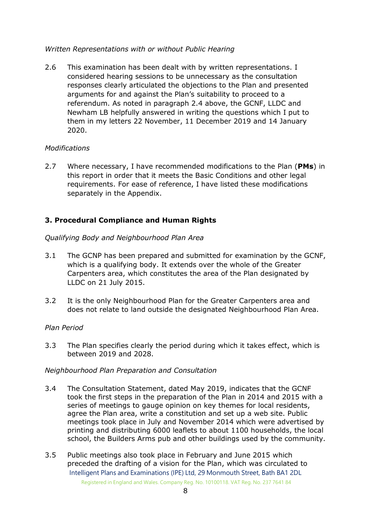## *Written Representations with or without Public Hearing*

2.6 This examination has been dealt with by written representations. I considered hearing sessions to be unnecessary as the consultation responses clearly articulated the objections to the Plan and presented arguments for and against the Plan's suitability to proceed to a referendum. As noted in paragraph 2.4 above, the GCNF, LLDC and Newham LB helpfully answered in writing the questions which I put to them in my letters 22 November, 11 December 2019 and 14 January 2020.

#### *Modifications*

2.7 Where necessary, I have recommended modifications to the Plan (**PMs**) in this report in order that it meets the Basic Conditions and other legal requirements. For ease of reference, I have listed these modifications separately in the Appendix.

## **3. Procedural Compliance and Human Rights**

#### *Qualifying Body and Neighbourhood Plan Area*

- 3.1 The GCNP has been prepared and submitted for examination by the GCNF, which is a qualifying body. It extends over the whole of the Greater Carpenters area, which constitutes the area of the Plan designated by LLDC on 21 July 2015.
- 3.2 It is the only Neighbourhood Plan for the Greater Carpenters area and does not relate to land outside the designated Neighbourhood Plan Area.

#### *Plan Period*

3.3 The Plan specifies clearly the period during which it takes effect, which is between 2019 and 2028.

#### *Neighbourhood Plan Preparation and Consultation*

- 3.4 The Consultation Statement, dated May 2019, indicates that the GCNF took the first steps in the preparation of the Plan in 2014 and 2015 with a series of meetings to gauge opinion on key themes for local residents, agree the Plan area, write a constitution and set up a web site. Public meetings took place in July and November 2014 which were advertised by printing and distributing 6000 leaflets to about 1100 households, the local school, the Builders Arms pub and other buildings used by the community.
- Intelligent Plans and Examinations (IPE) Ltd, 29 Monmouth Street, Bath BA1 2DL Registered in England and Wales. Company Reg. No. 10100118. VAT Reg. No. 237 7641 84 3.5 Public meetings also took place in February and June 2015 which preceded the drafting of a vision for the Plan, which was circulated to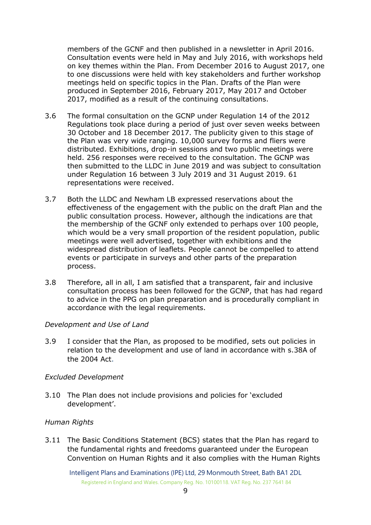members of the GCNF and then published in a newsletter in April 2016. Consultation events were held in May and July 2016, with workshops held on key themes within the Plan. From December 2016 to August 2017, one to one discussions were held with key stakeholders and further workshop meetings held on specific topics in the Plan. Drafts of the Plan were produced in September 2016, February 2017, May 2017 and October 2017, modified as a result of the continuing consultations.

- 3.6 The formal consultation on the GCNP under Regulation 14 of the 2012 Regulations took place during a period of just over seven weeks between 30 October and 18 December 2017. The publicity given to this stage of the Plan was very wide ranging. 10,000 survey forms and fliers were distributed. Exhibitions, drop-in sessions and two public meetings were held. 256 responses were received to the consultation. The GCNP was then submitted to the LLDC in June 2019 and was subject to consultation under Regulation 16 between 3 July 2019 and 31 August 2019. 61 representations were received.
- 3.7 Both the LLDC and Newham LB expressed reservations about the effectiveness of the engagement with the public on the draft Plan and the public consultation process. However, although the indications are that the membership of the GCNF only extended to perhaps over 100 people, which would be a very small proportion of the resident population, public meetings were well advertised, together with exhibitions and the widespread distribution of leaflets. People cannot be compelled to attend events or participate in surveys and other parts of the preparation process.
- 3.8 Therefore, all in all, I am satisfied that a transparent, fair and inclusive consultation process has been followed for the GCNP, that has had regard to advice in the PPG on plan preparation and is procedurally compliant in accordance with the legal requirements.

#### *Development and Use of Land*

3.9 I consider that the Plan, as proposed to be modified, sets out policies in relation to the development and use of land in accordance with s.38A of the 2004 Act.

#### *Excluded Development*

3.10 The Plan does not include provisions and policies for 'excluded development'.

#### *Human Rights*

3.11 The Basic Conditions Statement (BCS) states that the Plan has regard to the fundamental rights and freedoms guaranteed under the European Convention on Human Rights and it also complies with the Human Rights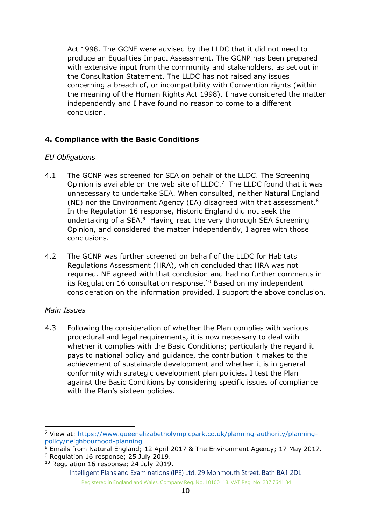Act 1998. The GCNF were advised by the LLDC that it did not need to produce an Equalities Impact Assessment. The GCNP has been prepared with extensive input from the community and stakeholders, as set out in the Consultation Statement. The LLDC has not raised any issues concerning a breach of, or incompatibility with Convention rights (within the meaning of the Human Rights Act 1998). I have considered the matter independently and I have found no reason to come to a different conclusion.

## **4. Compliance with the Basic Conditions**

## *EU Obligations*

- 4.1 The GCNP was screened for SEA on behalf of the LLDC. The Screening Opinion is available on the web site of  $LLDC$ .<sup>7</sup> The LLDC found that it was unnecessary to undertake SEA. When consulted, neither Natural England (NE) nor the Environment Agency (EA) disagreed with that assessment.<sup>8</sup> In the Regulation 16 response, Historic England did not seek the undertaking of a SEA.<sup>9</sup> Having read the very thorough SEA Screening Opinion, and considered the matter independently, I agree with those conclusions.
- 4.2 The GCNP was further screened on behalf of the LLDC for Habitats Regulations Assessment (HRA), which concluded that HRA was not required. NE agreed with that conclusion and had no further comments in its Regulation 16 consultation response.<sup>10</sup> Based on my independent consideration on the information provided, I support the above conclusion.

#### *Main Issues*

-

4.3 Following the consideration of whether the Plan complies with various procedural and legal requirements, it is now necessary to deal with whether it complies with the Basic Conditions; particularly the regard it pays to national policy and guidance, the contribution it makes to the achievement of sustainable development and whether it is in general conformity with strategic development plan policies. I test the Plan against the Basic Conditions by considering specific issues of compliance with the Plan's sixteen policies.

<sup>7</sup> View at: [https://www.queenelizabetholympicpark.co.uk/planning-authority/planning](https://www.queenelizabetholympicpark.co.uk/planning-authority/planning-policy/neighbourhood-planning)[policy/neighbourhood-planning](https://www.queenelizabetholympicpark.co.uk/planning-authority/planning-policy/neighbourhood-planning)

<sup>&</sup>lt;sup>8</sup> Emails from Natural England; 12 April 2017 & The Environment Agency; 17 May 2017.

<sup>&</sup>lt;sup>9</sup> Regulation 16 response; 25 July 2019.

<sup>&</sup>lt;sup>10</sup> Regulation 16 response; 24 July 2019.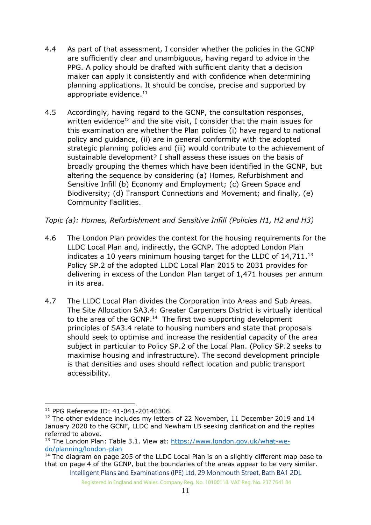- 4.4 As part of that assessment, I consider whether the policies in the GCNP are sufficiently clear and unambiguous, having regard to advice in the PPG. A policy should be drafted with sufficient clarity that a decision maker can apply it consistently and with confidence when determining planning applications. It should be concise, precise and supported by appropriate evidence.<sup>11</sup>
- 4.5 Accordingly, having regard to the GCNP, the consultation responses, written evidence<sup>12</sup> and the site visit, I consider that the main issues for this examination are whether the Plan policies (i) have regard to national policy and guidance, (ii) are in general conformity with the adopted strategic planning policies and (iii) would contribute to the achievement of sustainable development? I shall assess these issues on the basis of broadly grouping the themes which have been identified in the GCNP, but altering the sequence by considering (a) Homes, Refurbishment and Sensitive Infill (b) Economy and Employment; (c) Green Space and Biodiversity; (d) Transport Connections and Movement; and finally, (e) Community Facilities.

*Topic (a): Homes, Refurbishment and Sensitive Infill (Policies H1, H2 and H3)*

- 4.6 The London Plan provides the context for the housing requirements for the LLDC Local Plan and, indirectly, the GCNP. The adopted London Plan indicates a 10 years minimum housing target for the LLDC of 14,711.<sup>13</sup> Policy SP.2 of the adopted LLDC Local Plan 2015 to 2031 provides for delivering in excess of the London Plan target of 1,471 houses per annum in its area.
- 4.7 The LLDC Local Plan divides the Corporation into Areas and Sub Areas. The Site Allocation SA3.4: Greater Carpenters District is virtually identical to the area of the GCNP. $<sup>14</sup>$  The first two supporting development</sup> principles of SA3.4 relate to housing numbers and state that proposals should seek to optimise and increase the residential capacity of the area subject in particular to Policy SP.2 of the Local Plan. (Policy SP.2 seeks to maximise housing and infrastructure). The second development principle is that densities and uses should reflect location and public transport accessibility.

<sup>-</sup><sup>11</sup> PPG Reference ID: 41-041-20140306.

 $12$  The other evidence includes my letters of 22 November, 11 December 2019 and 14 January 2020 to the GCNF, LLDC and Newham LB seeking clarification and the replies referred to above.

<sup>&</sup>lt;sup>13</sup> The London Plan: Table 3.1. View at: [https://www.london.gov.uk/what-we](https://www.london.gov.uk/what-we-do/planning/london-plan)[do/planning/london-plan](https://www.london.gov.uk/what-we-do/planning/london-plan)

Intelligent Plans and Examinations (IPE) Ltd, 29 Monmouth Street, Bath BA1 2DL  $14$  The diagram on page 205 of the LLDC Local Plan is on a slightly different map base to that on page 4 of the GCNP, but the boundaries of the areas appear to be very similar.

Registered in England and Wales. Company Reg. No. 10100118. VAT Reg. No. 237 7641 84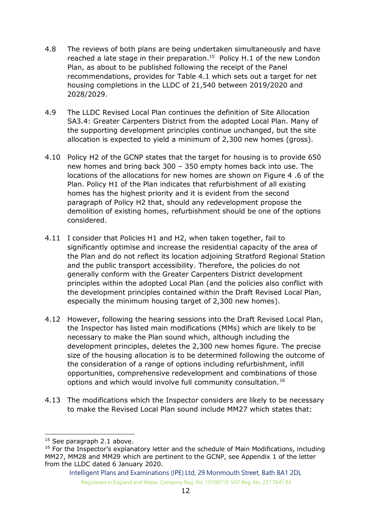- 4.8 The reviews of both plans are being undertaken simultaneously and have reached a late stage in their preparation.<sup>15</sup> Policy H.1 of the new London Plan, as about to be published following the receipt of the Panel recommendations, provides for Table 4.1 which sets out a target for net housing completions in the LLDC of 21,540 between 2019/2020 and 2028/2029.
- 4.9 The LLDC Revised Local Plan continues the definition of Site Allocation SA3.4: Greater Carpenters District from the adopted Local Plan. Many of the supporting development principles continue unchanged, but the site allocation is expected to yield a minimum of 2,300 new homes (gross).
- 4.10 Policy H2 of the GCNP states that the target for housing is to provide 650 new homes and bring back 300 – 350 empty homes back into use. The locations of the allocations for new homes are shown on Figure 4 .6 of the Plan. Policy H1 of the Plan indicates that refurbishment of all existing homes has the highest priority and it is evident from the second paragraph of Policy H2 that, should any redevelopment propose the demolition of existing homes, refurbishment should be one of the options considered.
- 4.11 I consider that Policies H1 and H2, when taken together, fail to significantly optimise and increase the residential capacity of the area of the Plan and do not reflect its location adjoining Stratford Regional Station and the public transport accessibility. Therefore, the policies do not generally conform with the Greater Carpenters District development principles within the adopted Local Plan (and the policies also conflict with the development principles contained within the Draft Revised Local Plan, especially the minimum housing target of 2,300 new homes).
- 4.12 However, following the hearing sessions into the Draft Revised Local Plan, the Inspector has listed main modifications (MMs) which are likely to be necessary to make the Plan sound which, although including the development principles, deletes the 2,300 new homes figure. The precise size of the housing allocation is to be determined following the outcome of the consideration of a range of options including refurbishment, infill opportunities, comprehensive redevelopment and combinations of those options and which would involve full community consultation.<sup>16</sup>
- 4.13 The modifications which the Inspector considers are likely to be necessary to make the Revised Local Plan sound include MM27 which states that:

 $15$  See paragraph 2.1 above.

 $16$  For the Inspector's explanatory letter and the schedule of Main Modifications, including MM27, MM28 and MM29 which are pertinent to the GCNP, see Appendix 1 of the letter from the LLDC dated 6 January 2020.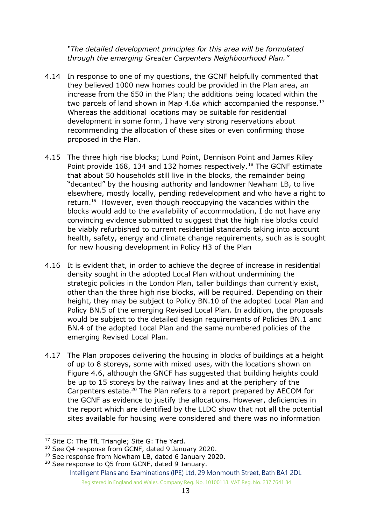*"The detailed development principles for this area will be formulated through the emerging Greater Carpenters Neighbourhood Plan."*

- 4.14 In response to one of my questions, the GCNF helpfully commented that they believed 1000 new homes could be provided in the Plan area, an increase from the 650 in the Plan; the additions being located within the two parcels of land shown in Map 4.6a which accompanied the response. $^{17}$ Whereas the additional locations may be suitable for residential development in some form, I have very strong reservations about recommending the allocation of these sites or even confirming those proposed in the Plan.
- 4.15 The three high rise blocks; Lund Point, Dennison Point and James Riley Point provide 168, 134 and 132 homes respectively.<sup>18</sup> The GCNF estimate that about 50 households still live in the blocks, the remainder being "decanted" by the housing authority and landowner Newham LB, to live elsewhere, mostly locally, pending redevelopment and who have a right to return.<sup>19</sup> However, even though reoccupying the vacancies within the blocks would add to the availability of accommodation, I do not have any convincing evidence submitted to suggest that the high rise blocks could be viably refurbished to current residential standards taking into account health, safety, energy and climate change requirements, such as is sought for new housing development in Policy H3 of the Plan
- 4.16 It is evident that, in order to achieve the degree of increase in residential density sought in the adopted Local Plan without undermining the strategic policies in the London Plan, taller buildings than currently exist, other than the three high rise blocks, will be required. Depending on their height, they may be subject to Policy BN.10 of the adopted Local Plan and Policy BN.5 of the emerging Revised Local Plan. In addition, the proposals would be subject to the detailed design requirements of Policies BN.1 and BN.4 of the adopted Local Plan and the same numbered policies of the emerging Revised Local Plan.
- 4.17 The Plan proposes delivering the housing in blocks of buildings at a height of up to 8 storeys, some with mixed uses, with the locations shown on Figure 4.6, although the GNCF has suggested that building heights could be up to 15 storeys by the railway lines and at the periphery of the Carpenters estate.<sup>20</sup> The Plan refers to a report prepared by AECOM for the GCNF as evidence to justify the allocations. However, deficiencies in the report which are identified by the LLDC show that not all the potential sites available for housing were considered and there was no information

<sup>&</sup>lt;sup>17</sup> Site C: The TfL Triangle; Site G: The Yard.

<sup>&</sup>lt;sup>18</sup> See Q4 response from GCNF, dated 9 January 2020.

<sup>&</sup>lt;sup>19</sup> See response from Newham LB, dated 6 January 2020.

Intelligent Plans and Examinations (IPE) Ltd, 29 Monmouth Street, Bath BA1 2DL Registered in England and Wales. Company Reg. No. 10100118. VAT Reg. No. 237 7641 84 <sup>20</sup> See response to Q5 from GCNF, dated 9 January.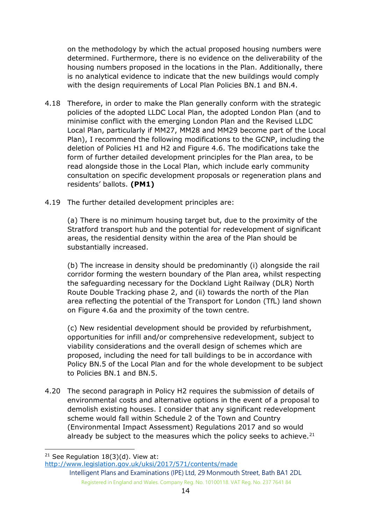on the methodology by which the actual proposed housing numbers were determined. Furthermore, there is no evidence on the deliverability of the housing numbers proposed in the locations in the Plan. Additionally, there is no analytical evidence to indicate that the new buildings would comply with the design requirements of Local Plan Policies BN.1 and BN.4.

- 4.18 Therefore, in order to make the Plan generally conform with the strategic policies of the adopted LLDC Local Plan, the adopted London Plan (and to minimise conflict with the emerging London Plan and the Revised LLDC Local Plan, particularly if MM27, MM28 and MM29 become part of the Local Plan), I recommend the following modifications to the GCNP, including the deletion of Policies H1 and H2 and Figure 4.6. The modifications take the form of further detailed development principles for the Plan area, to be read alongside those in the Local Plan, which include early community consultation on specific development proposals or regeneration plans and residents' ballots. **(PM1)**
- 4.19 The further detailed development principles are:

(a) There is no minimum housing target but, due to the proximity of the Stratford transport hub and the potential for redevelopment of significant areas, the residential density within the area of the Plan should be substantially increased.

(b) The increase in density should be predominantly (i) alongside the rail corridor forming the western boundary of the Plan area, whilst respecting the safeguarding necessary for the Dockland Light Railway (DLR) North Route Double Tracking phase 2, and (ii) towards the north of the Plan area reflecting the potential of the Transport for London (TfL) land shown on Figure 4.6a and the proximity of the town centre.

(c) New residential development should be provided by refurbishment, opportunities for infill and/or comprehensive redevelopment, subject to viability considerations and the overall design of schemes which are proposed, including the need for tall buildings to be in accordance with Policy BN.5 of the Local Plan and for the whole development to be subject to Policies BN.1 and BN.5.

4.20 The second paragraph in Policy H2 requires the submission of details of environmental costs and alternative options in the event of a proposal to demolish existing houses. I consider that any significant redevelopment scheme would fall within Schedule 2 of the Town and Country (Environmental Impact Assessment) Regulations 2017 and so would already be subject to the measures which the policy seeks to achieve. $21$ 

<sup>&</sup>lt;sup>21</sup> See Regulation  $18(3)(d)$ . View at:

<http://www.legislation.gov.uk/uksi/2017/571/contents/made>

Intelligent Plans and Examinations (IPE) Ltd, 29 Monmouth Street, Bath BA1 2DL Registered in England and Wales. Company Reg. No. 10100118. VAT Reg. No. 237 7641 84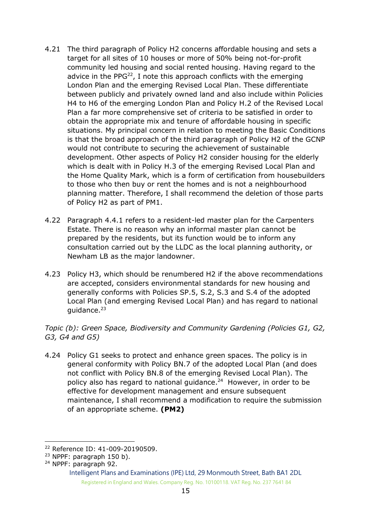- 4.21 The third paragraph of Policy H2 concerns affordable housing and sets a target for all sites of 10 houses or more of 50% being not-for-profit community led housing and social rented housing. Having regard to the advice in the PPG $^{22}$ , I note this approach conflicts with the emerging London Plan and the emerging Revised Local Plan. These differentiate between publicly and privately owned land and also include within Policies H4 to H6 of the emerging London Plan and Policy H.2 of the Revised Local Plan a far more comprehensive set of criteria to be satisfied in order to obtain the appropriate mix and tenure of affordable housing in specific situations. My principal concern in relation to meeting the Basic Conditions is that the broad approach of the third paragraph of Policy H2 of the GCNP would not contribute to securing the achievement of sustainable development. Other aspects of Policy H2 consider housing for the elderly which is dealt with in Policy H.3 of the emerging Revised Local Plan and the Home Quality Mark, which is a form of certification from housebuilders to those who then buy or rent the homes and is not a neighbourhood planning matter. Therefore, I shall recommend the deletion of those parts of Policy H2 as part of PM1.
- 4.22 Paragraph 4.4.1 refers to a resident-led master plan for the Carpenters Estate. There is no reason why an informal master plan cannot be prepared by the residents, but its function would be to inform any consultation carried out by the LLDC as the local planning authority, or Newham LB as the major landowner.
- 4.23 Policy H3, which should be renumbered H2 if the above recommendations are accepted, considers environmental standards for new housing and generally conforms with Policies SP.5, S.2, S.3 and S.4 of the adopted Local Plan (and emerging Revised Local Plan) and has regard to national guidance.<sup>23</sup>

*Topic (b): Green Space, Biodiversity and Community Gardening (Policies G1, G2, G3, G4 and G5)*

4.24 Policy G1 seeks to protect and enhance green spaces. The policy is in general conformity with Policy BN.7 of the adopted Local Plan (and does not conflict with Policy BN.8 of the emerging Revised Local Plan). The policy also has regard to national guidance. 24 However, in order to be effective for development management and ensure subsequent maintenance, I shall recommend a modification to require the submission of an appropriate scheme. **(PM2)**

<sup>-</sup><sup>22</sup> Reference ID: 41-009-20190509.

<sup>&</sup>lt;sup>23</sup> NPPF: paragraph 150 b).

<sup>24</sup> NPPF: paragraph 92.

Intelligent Plans and Examinations (IPE) Ltd, 29 Monmouth Street, Bath BA1 2DL Registered in England and Wales. Company Reg. No. 10100118. VAT Reg. No. 237 7641 84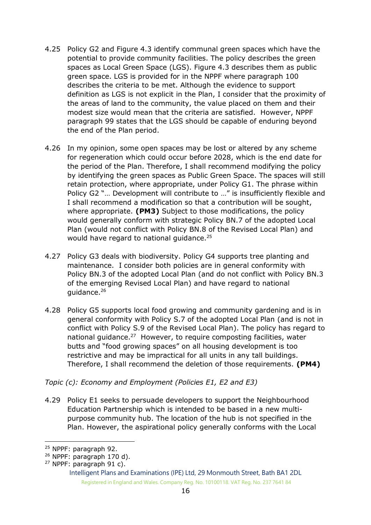- 4.25 Policy G2 and Figure 4.3 identify communal green spaces which have the potential to provide community facilities. The policy describes the green spaces as Local Green Space (LGS). Figure 4.3 describes them as public green space. LGS is provided for in the NPPF where paragraph 100 describes the criteria to be met. Although the evidence to support definition as LGS is not explicit in the Plan, I consider that the proximity of the areas of land to the community, the value placed on them and their modest size would mean that the criteria are satisfied. However, NPPF paragraph 99 states that the LGS should be capable of enduring beyond the end of the Plan period.
- 4.26 In my opinion, some open spaces may be lost or altered by any scheme for regeneration which could occur before 2028, which is the end date for the period of the Plan. Therefore, I shall recommend modifying the policy by identifying the green spaces as Public Green Space. The spaces will still retain protection, where appropriate, under Policy G1. The phrase within Policy G2 "… Development will contribute to …" is insufficiently flexible and I shall recommend a modification so that a contribution will be sought, where appropriate. **(PM3)** Subject to those modifications, the policy would generally conform with strategic Policy BN.7 of the adopted Local Plan (would not conflict with Policy BN.8 of the Revised Local Plan) and would have regard to national guidance. $25$
- 4.27 Policy G3 deals with biodiversity. Policy G4 supports tree planting and maintenance. I consider both policies are in general conformity with Policy BN.3 of the adopted Local Plan (and do not conflict with Policy BN.3 of the emerging Revised Local Plan) and have regard to national guidance.<sup>26</sup>
- 4.28 Policy G5 supports local food growing and community gardening and is in general conformity with Policy S.7 of the adopted Local Plan (and is not in conflict with Policy S.9 of the Revised Local Plan). The policy has regard to national guidance.<sup>27</sup> However, to require composting facilities, water butts and "food growing spaces" on all housing development is too restrictive and may be impractical for all units in any tall buildings. Therefore, I shall recommend the deletion of those requirements. **(PM4)**

*Topic (c): Economy and Employment (Policies E1, E2 and E3)* 

4.29 Policy E1 seeks to persuade developers to support the Neighbourhood Education Partnership which is intended to be based in a new multipurpose community hub. The location of the hub is not specified in the Plan. However, the aspirational policy generally conforms with the Local

<sup>-</sup><sup>25</sup> NPPF: paragraph 92.

<sup>26</sup> NPPF: paragraph 170 d).

<sup>27</sup> NPPF: paragraph 91 c).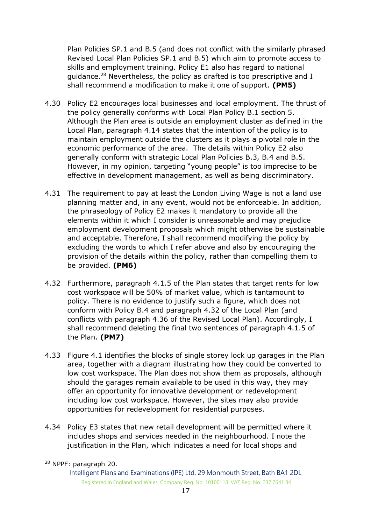Plan Policies SP.1 and B.5 (and does not conflict with the similarly phrased Revised Local Plan Policies SP.1 and B.5) which aim to promote access to skills and employment training. Policy E1 also has regard to national guidance.<sup>28</sup> Nevertheless, the policy as drafted is too prescriptive and I shall recommend a modification to make it one of support. **(PM5)**

- 4.30 Policy E2 encourages local businesses and local employment. The thrust of the policy generally conforms with Local Plan Policy B.1 section 5. Although the Plan area is outside an employment cluster as defined in the Local Plan, paragraph 4.14 states that the intention of the policy is to maintain employment outside the clusters as it plays a pivotal role in the economic performance of the area. The details within Policy E2 also generally conform with strategic Local Plan Policies B.3, B.4 and B.5. However, in my opinion, targeting "young people" is too imprecise to be effective in development management, as well as being discriminatory.
- 4.31 The requirement to pay at least the London Living Wage is not a land use planning matter and, in any event, would not be enforceable. In addition, the phraseology of Policy E2 makes it mandatory to provide all the elements within it which I consider is unreasonable and may prejudice employment development proposals which might otherwise be sustainable and acceptable. Therefore, I shall recommend modifying the policy by excluding the words to which I refer above and also by encouraging the provision of the details within the policy, rather than compelling them to be provided. **(PM6)**
- 4.32 Furthermore, paragraph 4.1.5 of the Plan states that target rents for low cost workspace will be 50% of market value, which is tantamount to policy. There is no evidence to justify such a figure, which does not conform with Policy B.4 and paragraph 4.32 of the Local Plan (and conflicts with paragraph 4.36 of the Revised Local Plan). Accordingly, I shall recommend deleting the final two sentences of paragraph 4.1.5 of the Plan. **(PM7)**
- 4.33 Figure 4.1 identifies the blocks of single storey lock up garages in the Plan area, together with a diagram illustrating how they could be converted to low cost workspace. The Plan does not show them as proposals, although should the garages remain available to be used in this way, they may offer an opportunity for innovative development or redevelopment including low cost workspace. However, the sites may also provide opportunities for redevelopment for residential purposes.
- 4.34 Policy E3 states that new retail development will be permitted where it includes shops and services needed in the neighbourhood. I note the justification in the Plan, which indicates a need for local shops and

<sup>-</sup><sup>28</sup> NPPF: paragraph 20.

Intelligent Plans and Examinations (IPE) Ltd, 29 Monmouth Street, Bath BA1 2DL Registered in England and Wales. Company Reg. No. 10100118. VAT Reg. No. 237 7641 84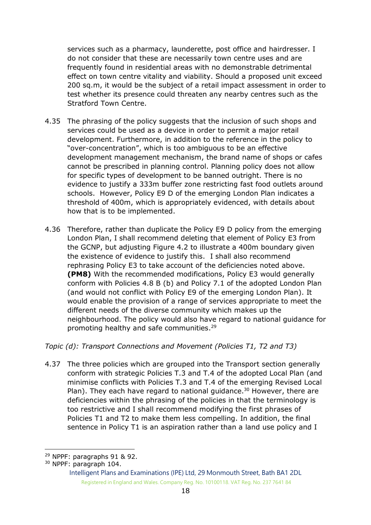services such as a pharmacy, launderette, post office and hairdresser. I do not consider that these are necessarily town centre uses and are frequently found in residential areas with no demonstrable detrimental effect on town centre vitality and viability. Should a proposed unit exceed 200 sq.m, it would be the subject of a retail impact assessment in order to test whether its presence could threaten any nearby centres such as the Stratford Town Centre.

- 4.35 The phrasing of the policy suggests that the inclusion of such shops and services could be used as a device in order to permit a major retail development. Furthermore, in addition to the reference in the policy to "over-concentration", which is too ambiguous to be an effective development management mechanism, the brand name of shops or cafes cannot be prescribed in planning control. Planning policy does not allow for specific types of development to be banned outright. There is no evidence to justify a 333m buffer zone restricting fast food outlets around schools. However, Policy E9 D of the emerging London Plan indicates a threshold of 400m, which is appropriately evidenced, with details about how that is to be implemented.
- 4.36 Therefore, rather than duplicate the Policy E9 D policy from the emerging London Plan, I shall recommend deleting that element of Policy E3 from the GCNP, but adjusting Figure 4.2 to illustrate a 400m boundary given the existence of evidence to justify this. I shall also recommend rephrasing Policy E3 to take account of the deficiencies noted above. **(PM8)** With the recommended modifications, Policy E3 would generally conform with Policies 4.8 B (b) and Policy 7.1 of the adopted London Plan (and would not conflict with Policy E9 of the emerging London Plan). It would enable the provision of a range of services appropriate to meet the different needs of the diverse community which makes up the neighbourhood. The policy would also have regard to national guidance for promoting healthy and safe communities.<sup>29</sup>

## *Topic (d): Transport Connections and Movement (Policies T1, T2 and T3)*

4.37 The three policies which are grouped into the Transport section generally conform with strategic Policies T.3 and T.4 of the adopted Local Plan (and minimise conflicts with Policies T.3 and T.4 of the emerging Revised Local Plan). They each have regard to national guidance.<sup>30</sup> However, there are deficiencies within the phrasing of the policies in that the terminology is too restrictive and I shall recommend modifying the first phrases of Policies T1 and T2 to make them less compelling. In addition, the final sentence in Policy T1 is an aspiration rather than a land use policy and I

<sup>29</sup> NPPF: paragraphs 91 & 92.

<sup>30</sup> NPPF: paragraph 104.

Intelligent Plans and Examinations (IPE) Ltd, 29 Monmouth Street, Bath BA1 2DL Registered in England and Wales. Company Reg. No. 10100118. VAT Reg. No. 237 7641 84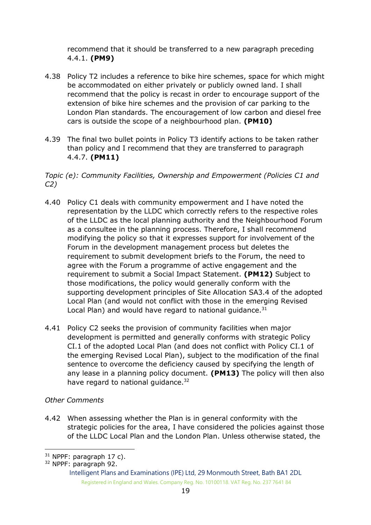recommend that it should be transferred to a new paragraph preceding 4.4.1. **(PM9)**

- 4.38 Policy T2 includes a reference to bike hire schemes, space for which might be accommodated on either privately or publicly owned land. I shall recommend that the policy is recast in order to encourage support of the extension of bike hire schemes and the provision of car parking to the London Plan standards. The encouragement of low carbon and diesel free cars is outside the scope of a neighbourhood plan. **(PM10)**
- 4.39 The final two bullet points in Policy T3 identify actions to be taken rather than policy and I recommend that they are transferred to paragraph 4.4.7. **(PM11)**

*Topic (e): Community Facilities, Ownership and Empowerment (Policies C1 and C2)*

- 4.40 Policy C1 deals with community empowerment and I have noted the representation by the LLDC which correctly refers to the respective roles of the LLDC as the local planning authority and the Neighbourhood Forum as a consultee in the planning process. Therefore, I shall recommend modifying the policy so that it expresses support for involvement of the Forum in the development management process but deletes the requirement to submit development briefs to the Forum, the need to agree with the Forum a programme of active engagement and the requirement to submit a Social Impact Statement. **(PM12)** Subject to those modifications, the policy would generally conform with the supporting development principles of Site Allocation SA3.4 of the adopted Local Plan (and would not conflict with those in the emerging Revised Local Plan) and would have regard to national quidance. $31$
- 4.41 Policy C2 seeks the provision of community facilities when major development is permitted and generally conforms with strategic Policy CI.1 of the adopted Local Plan (and does not conflict with Policy CI.1 of the emerging Revised Local Plan), subject to the modification of the final sentence to overcome the deficiency caused by specifying the length of any lease in a planning policy document. **(PM13)** The policy will then also have regard to national guidance.<sup>32</sup>

## *Other Comments*

4.42 When assessing whether the Plan is in general conformity with the strategic policies for the area, I have considered the policies against those of the LLDC Local Plan and the London Plan. Unless otherwise stated, the

<sup>-</sup> $31$  NPPF: paragraph 17 c).

<sup>32</sup> NPPF: paragraph 92.

Intelligent Plans and Examinations (IPE) Ltd, 29 Monmouth Street, Bath BA1 2DL Registered in England and Wales. Company Reg. No. 10100118. VAT Reg. No. 237 7641 84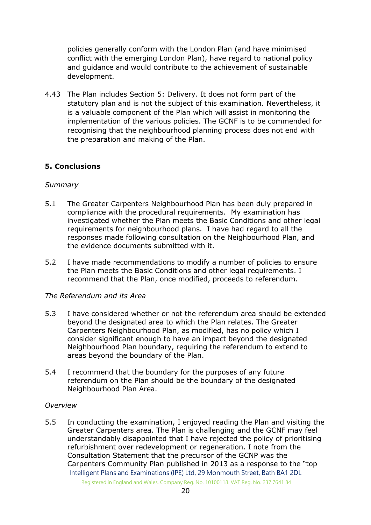policies generally conform with the London Plan (and have minimised conflict with the emerging London Plan), have regard to national policy and guidance and would contribute to the achievement of sustainable development.

4.43 The Plan includes Section 5: Delivery. It does not form part of the statutory plan and is not the subject of this examination. Nevertheless, it is a valuable component of the Plan which will assist in monitoring the implementation of the various policies. The GCNF is to be commended for recognising that the neighbourhood planning process does not end with the preparation and making of the Plan.

## **5. Conclusions**

#### *Summary*

- 5.1 The Greater Carpenters Neighbourhood Plan has been duly prepared in compliance with the procedural requirements. My examination has investigated whether the Plan meets the Basic Conditions and other legal requirements for neighbourhood plans. I have had regard to all the responses made following consultation on the Neighbourhood Plan, and the evidence documents submitted with it.
- 5.2 I have made recommendations to modify a number of policies to ensure the Plan meets the Basic Conditions and other legal requirements. I recommend that the Plan, once modified, proceeds to referendum.

#### *The Referendum and its Area*

- 5.3 I have considered whether or not the referendum area should be extended beyond the designated area to which the Plan relates. The Greater Carpenters Neighbourhood Plan, as modified, has no policy which I consider significant enough to have an impact beyond the designated Neighbourhood Plan boundary, requiring the referendum to extend to areas beyond the boundary of the Plan.
- 5.4 I recommend that the boundary for the purposes of any future referendum on the Plan should be the boundary of the designated Neighbourhood Plan Area.

#### *Overview*

Intelligent Plans and Examinations (IPE) Ltd, 29 Monmouth Street, Bath BA1 2DL 5.5 In conducting the examination, I enjoyed reading the Plan and visiting the Greater Carpenters area. The Plan is challenging and the GCNF may feel understandably disappointed that I have rejected the policy of prioritising refurbishment over redevelopment or regeneration. I note from the Consultation Statement that the precursor of the GCNP was the Carpenters Community Plan published in 2013 as a response to the "top

Registered in England and Wales. Company Reg. No. 10100118. VAT Reg. No. 237 7641 84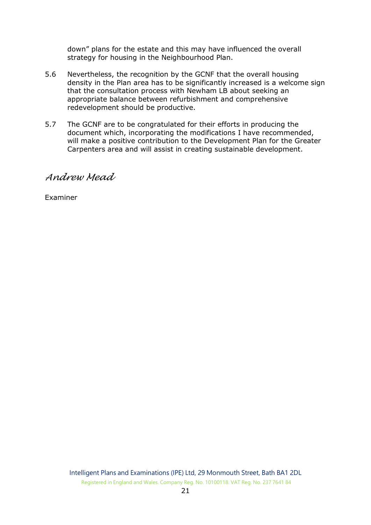down" plans for the estate and this may have influenced the overall strategy for housing in the Neighbourhood Plan.

- 5.6 Nevertheless, the recognition by the GCNF that the overall housing density in the Plan area has to be significantly increased is a welcome sign that the consultation process with Newham LB about seeking an appropriate balance between refurbishment and comprehensive redevelopment should be productive.
- 5.7 The GCNF are to be congratulated for their efforts in producing the document which, incorporating the modifications I have recommended, will make a positive contribution to the Development Plan for the Greater Carpenters area and will assist in creating sustainable development.

*Andrew Mead*

Examiner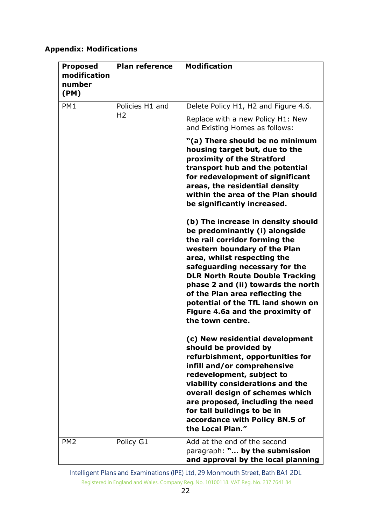# **Appendix: Modifications**

| <b>Proposed</b><br>modification<br>number<br>(PM) | <b>Plan reference</b> | <b>Modification</b>                                                                                                                                                                                                                                                                                                                                                                                                     |
|---------------------------------------------------|-----------------------|-------------------------------------------------------------------------------------------------------------------------------------------------------------------------------------------------------------------------------------------------------------------------------------------------------------------------------------------------------------------------------------------------------------------------|
| PM1                                               | Policies H1 and       | Delete Policy H1, H2 and Figure 4.6.                                                                                                                                                                                                                                                                                                                                                                                    |
|                                                   | H <sub>2</sub>        | Replace with a new Policy H1: New<br>and Existing Homes as follows:                                                                                                                                                                                                                                                                                                                                                     |
|                                                   |                       | "(a) There should be no minimum<br>housing target but, due to the<br>proximity of the Stratford<br>transport hub and the potential<br>for redevelopment of significant<br>areas, the residential density<br>within the area of the Plan should<br>be significantly increased.                                                                                                                                           |
|                                                   |                       | (b) The increase in density should<br>be predominantly (i) alongside<br>the rail corridor forming the<br>western boundary of the Plan<br>area, whilst respecting the<br>safeguarding necessary for the<br><b>DLR North Route Double Tracking</b><br>phase 2 and (ii) towards the north<br>of the Plan area reflecting the<br>potential of the TfL land shown on<br>Figure 4.6a and the proximity of<br>the town centre. |
|                                                   |                       | (c) New residential development<br>should be provided by<br>refurbishment, opportunities for<br>infill and/or comprehensive<br>redevelopment, subject to<br>viability considerations and the<br>overall design of schemes which<br>are proposed, including the need<br>for tall buildings to be in<br>accordance with Policy BN.5 of<br>the Local Plan."                                                                |
| PM <sub>2</sub>                                   | Policy G1             | Add at the end of the second<br>paragraph: " by the submission<br>and approval by the local planning                                                                                                                                                                                                                                                                                                                    |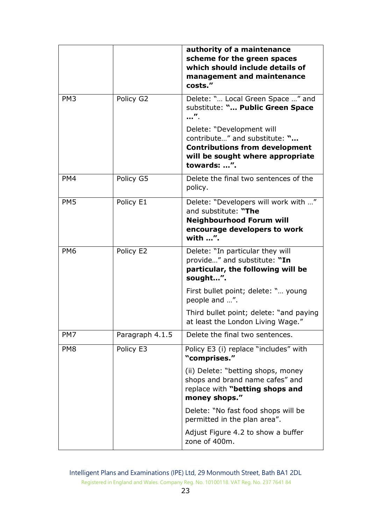|                 |                 | authority of a maintenance<br>scheme for the green spaces<br>which should include details of<br>management and maintenance<br>costs."                  |
|-----------------|-----------------|--------------------------------------------------------------------------------------------------------------------------------------------------------|
| PM <sub>3</sub> | Policy G2       | Delete: " Local Green Space " and<br>substitute: " Public Green Space                                                                                  |
|                 |                 | Delete: "Development will<br>contribute" and substitute: "<br><b>Contributions from development</b><br>will be sought where appropriate<br>towards: ". |
| PM4             | Policy G5       | Delete the final two sentences of the<br>policy.                                                                                                       |
| PM <sub>5</sub> | Policy E1       | Delete: "Developers will work with "<br>and substitute: "The<br><b>Neighbourhood Forum will</b><br>encourage developers to work<br>with ".             |
| PM <sub>6</sub> | Policy E2       | Delete: "In particular they will<br>provide" and substitute: "In<br>particular, the following will be<br>sought".                                      |
|                 |                 | First bullet point; delete: " young<br>people and ".                                                                                                   |
|                 |                 | Third bullet point; delete: "and paying<br>at least the London Living Wage."                                                                           |
| PM7             | Paragraph 4.1.5 | Delete the final two sentences.                                                                                                                        |
| PM <sub>8</sub> | Policy E3       | Policy E3 (i) replace "includes" with<br>"comprises."                                                                                                  |
|                 |                 | (ii) Delete: "betting shops, money<br>shops and brand name cafes" and<br>replace with "betting shops and<br>money shops."                              |
|                 |                 | Delete: "No fast food shops will be<br>permitted in the plan area".                                                                                    |
|                 |                 | Adjust Figure 4.2 to show a buffer<br>zone of 400m.                                                                                                    |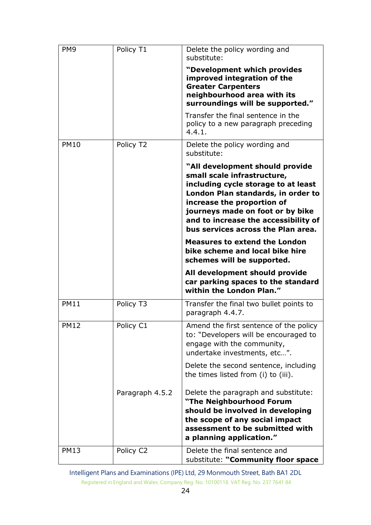| PM <sub>9</sub> | Policy T1       | Delete the policy wording and<br>substitute:                                                                                                                                                                                                                                                |
|-----------------|-----------------|---------------------------------------------------------------------------------------------------------------------------------------------------------------------------------------------------------------------------------------------------------------------------------------------|
|                 |                 | "Development which provides<br>improved integration of the<br><b>Greater Carpenters</b><br>neighbourhood area with its<br>surroundings will be supported."                                                                                                                                  |
|                 |                 | Transfer the final sentence in the<br>policy to a new paragraph preceding<br>4.4.1.                                                                                                                                                                                                         |
| <b>PM10</b>     | Policy T2       | Delete the policy wording and<br>substitute:                                                                                                                                                                                                                                                |
|                 |                 | "All development should provide<br>small scale infrastructure,<br>including cycle storage to at least<br>London Plan standards, in order to<br>increase the proportion of<br>journeys made on foot or by bike<br>and to increase the accessibility of<br>bus services across the Plan area. |
|                 |                 | <b>Measures to extend the London</b><br>bike scheme and local bike hire<br>schemes will be supported.                                                                                                                                                                                       |
|                 |                 | All development should provide<br>car parking spaces to the standard<br>within the London Plan."                                                                                                                                                                                            |
| <b>PM11</b>     | Policy T3       | Transfer the final two bullet points to<br>paragraph 4.4.7.                                                                                                                                                                                                                                 |
| <b>PM12</b>     | Policy C1       | Amend the first sentence of the policy<br>to: "Developers will be encouraged to<br>engage with the community,<br>undertake investments, etc".                                                                                                                                               |
|                 |                 | Delete the second sentence, including<br>the times listed from (i) to (iii).                                                                                                                                                                                                                |
|                 | Paragraph 4.5.2 | Delete the paragraph and substitute:<br>"The Neighbourhood Forum<br>should be involved in developing<br>the scope of any social impact<br>assessment to be submitted with<br>a planning application."                                                                                       |
| <b>PM13</b>     | Policy C2       | Delete the final sentence and<br>substitute: "Community floor space                                                                                                                                                                                                                         |